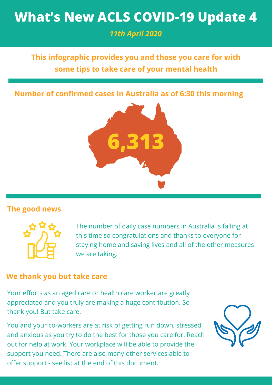# **What's New ACLS COVID-19 Update 4**

*11th April 2020*

# **This infographic provides you and those you care for with some tips to take care of your mental health**

**Number of confirmed cases in Australia as of 6:30 this morning**



## **The good news**



The number of daily case numbers in Australia is falling at this time so congratulations and thanks to everyone for staying home and saving lives and all of the other measures we are taking.

## **We thank you but take care**

Your efforts as an aged care or health care worker are greatly appreciated and you truly are making a huge contribution. So thank you! But take care.

You and your co-workers are at risk of getting run down, stressed and anxious as you try to do the best for those you care for. Reach out for help at work. Your workplace will be able to provide the support you need. There are also many other services able to offer support - see list at the end of this document.

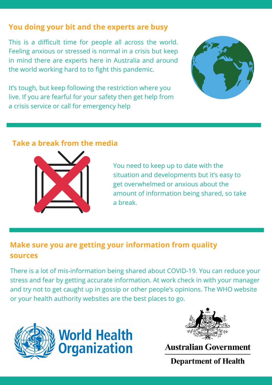## **You doing your bit and the experts are busy**

This is a difficult time for people all across the world. Feeling anxious or stressed is normal in a crisis but keep in mind there are experts here in Australia and around the world working hard to to fight this pandemic.

It's tough, but keep following the restriction where you live. If you are fearful for your safety then get help from a crisis service or call for emergency help



#### **Take a break from the media**



You need to keep up to date with the situation and developments but it's easy to get overwhelmed or anxious about the amount of information being shared, so take a break.

## **Make sure you are getting your information from quality sources**

There is a lot of mis-information being shared about COVID-19. You can reduce your stress and fear by getting accurate information. At work check in with your manager and try not to get caught up in gossip or other people's opinions. The WHO website or your health authority websites are the best places to go.





**Australian Government** 

**Department of Health**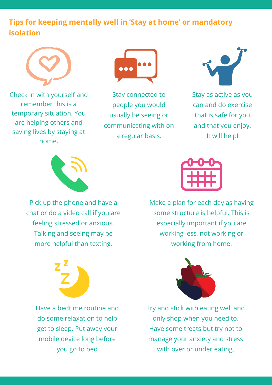## **Tips for keeping mentally well in 'Stay at home' or mandatory isolation**



Check in with yourself and remember this is a temporary situation. You are helping others and saving lives by staying at home.



Stay connected to people you would usually be seeing or communicating with on a regular basis.



Stay as active as you can and do exercise that is safe for you and that you enjoy. It will help!



Pick up the phone and have a chat or do a video call if you are feeling stressed or anxious. Talking and seeing may be more helpful than texting.



Make a plan for each day as having some structure is helpful. This is especially important if you are working less, not working or working from home.



Have a bedtime routine and do some relaxation to help get to sleep. Put away your mobile device long before you go to bed



Try and stick with eating well and only shop when you need to. Have some treats but try not to manage your anxiety and stress with over or under eating.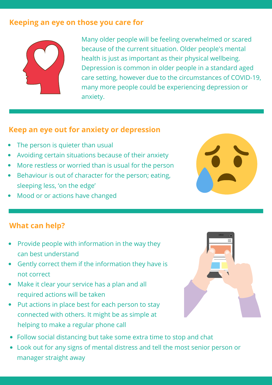## **Keeping an eye on those you care for**



Many older people will be feeling overwhelmed or scared because of the current situation. Older people's mental health is just as important as their physical wellbeing. Depression is common in older people in a standard aged care setting, however due to the circumstances of COVID-19, many more people could be experiencing depression or anxiety.

## **Keep an eye out for anxiety or depression**

- The person is quieter than usual
- Avoiding certain situations because of their anxiety
- More restless or worried than is usual for the person
- Behaviour is out of character for the person; eating, sleeping less, 'on the edge'
- Mood or or actions have changed

## **What can help?**

- Provide people with information in the way they can best understand
- Gently correct them if the information they have is not correct
- Make it clear your service has a plan and all required actions will be taken
- Put actions in place best for each person to stay connected with others. It might be as simple at helping to make a regular phone call
- Follow social distancing but take some extra time to stop and chat
- Look out for any signs of mental distress and tell the most senior person or manager straight away